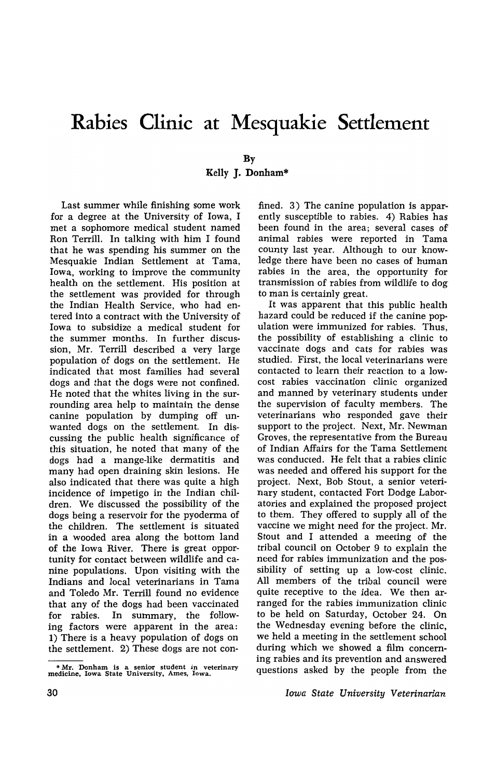## **Rabies Clinic at Mesquakie Settlement**

## By

Kelly J. Donham\*

Last summer while finishing some work for a degree at the University of Iowa, I met a sophomore medical student named Ron Terrill. In talking with him I found that he was spending his summer on the Mesquakie Indian Settlement at Tama, Iowa, working to improve the community health on the settlement. His position at the settlement was provided for through the Indian Health Service, who had entered into a contract with the University of Iowa to subsidize a medical student for the summer months. In further discussion, Mr. Terrill described a very large population of dogs on the settlement. He indicated that most families had several dogs and that the dogs were not confined. He noted that the whites living in the surrounding area help to maintain the dense canine population by dumping off unwanted dogs on the settlement. In discussing the public health significance of this situation, he noted that many of the dogs had a mange-like dermatitis and many had open draining skin lesions. He also indicated that there was quite a high incidence of impetigo in the Indian children. We discussed the possibility of the dogs being a reservoir for the pyoderma of the children. The settlement is situated in a wooded area along the bottom land of the Iowa River. There is great opportunity for contact between wildlife and canine populations. Upon visiting with the Indians and local veterinarians in Tama and Toledo Mr. Terrill found no evidence that any of the dogs had been vaccinated for rabies. In summary, the following factors were apparent in the area: 1) There is a heavy population of dogs on the settlement. 2) These dogs are not confined. 3) The canine population is apparently susceptible to rabies. 4) Rabies has been found in the area; several cases of animal rabies were reported in Tama county last year. Although to our knowledge there have been no cases of human rabies in the area, the opportunity for transmission of rabies from wildlife to dog to man is certainly great.

It was apparent that this public health hazard could be reduced if the canine population were immunized for rabies. Thus, the possibility of establishing a clinic to vaccinate dogs and cats for rabies was studied. First, the local veterinarians were contacted to learn their reaction to a lowcost rabies vaccination clinic organized and manned by veterinary students under the supervision of faculty members. The veterinarians who responded gave their support to the project. Next, Mr. Newman Groves, the representative from the Bureau of Indian Affairs for the Tama Settlement was conducted. He felt that a rabies clinic was needed and offered his support for the project. Next, Bob Stout, a senior veterinary student, contacted Fort Dodge Laboratories and explained the proposed project to them. They offered to supply all of the vaccine we might need for the project. Mr. Stout and I attended a meeting of the tribal council on October 9 to explain the need for rabies immunization and the possibility of setting up a low-cost clinic. All members of the tribal council were quite receptive to the idea. We then arranged for the rabies immunization clinic to be held on Saturday, October 24. On the Wednesday evening before the clinic, we held a meeting in the settlement school during which we showed a film concerning rabies and its prevention and answered questions asked by the people from the

*Iowa State University Veterinarian* 

<sup>\*</sup> Mr. Donham is a senior student in veterinary medicine, Iowa State University, Ames, Iowa.